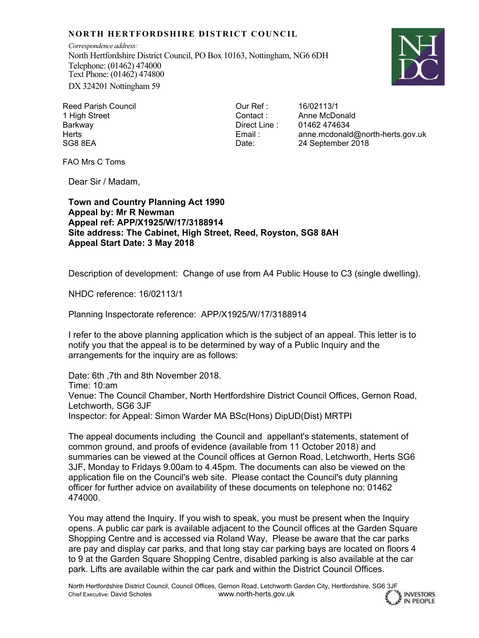## **NORTH HERTFORDSHIRE DISTRICT COUNCIL**

*Correspondence address:* North Hertfordshire District Council, PO Box 10163, Nottingham, NG6 6DH Telephone: (01462) 474000 Text Phone: (01462) 474800 DX 324201 Nottingham 59



**INVESTORS** IN PEOPLE

Reed Parish Council 1 High Street Barkway **Herts** SG8 8EA

Our Ref : Contact : Direct Line : Email : Date:

16/02113/1 Anne McDonald 01462 474634 anne.mcdonald@north-herts.gov.uk 24 September 2018

FAO Mrs C Toms

Dear Sir / Madam,

**Town and Country Planning Act 1990 Appeal by: Mr R Newman Appeal ref: APP/X1925/W/17/3188914 Site address: The Cabinet, High Street, Reed, Royston, SG8 8AH Appeal Start Date: 3 May 2018**

Description of development: Change of use from A4 Public House to C3 (single dwelling).

NHDC reference: 16/02113/1

Planning Inspectorate reference: APP/X1925/W/17/3188914

I refer to the above planning application which is the subject of an appeal. This letter is to notify you that the appeal is to be determined by way of a Public Inquiry and the arrangements for the inquiry are as follows:

Date: 6th ,7th and 8th November 2018. Time: 10:am Venue: The Council Chamber, North Hertfordshire District Council Offices, Gernon Road, Letchworth, SG6 3JF Inspector: for Appeal: Simon Warder MA BSc(Hons) DipUD(Dist) MRTPI

The appeal documents including the Council and appellant's statements, statement of common ground, and proofs of evidence (available from 11 October 2018) and summaries can be viewed at the Council offices at Gernon Road, Letchworth, Herts SG6 3JF, Monday to Fridays 9.00am to 4.45pm. The documents can also be viewed on the application file on the Council's web site. Please contact the Council's duty planning officer for further advice on availability of these documents on telephone no: 01462 474000.

You may attend the Inquiry. If you wish to speak, you must be present when the Inquiry opens. A public car park is available adjacent to the Council offices at the Garden Square Shopping Centre and is accessed via Roland Way, Please be aware that the car parks are pay and display car parks, and that long stay car parking bays are located on floors 4 to 9 at the Garden Square Shopping Centre, disabled parking is also available at the car park. Lifts are available within the car park and within the District Council Offices.

North Hertfordshire District Council, Council Offices, Gernon Road, Letchworth Garden City, Hertfordshire, SG6 3JF Chief Executive: David Scholes www.north-herts.gov.uk